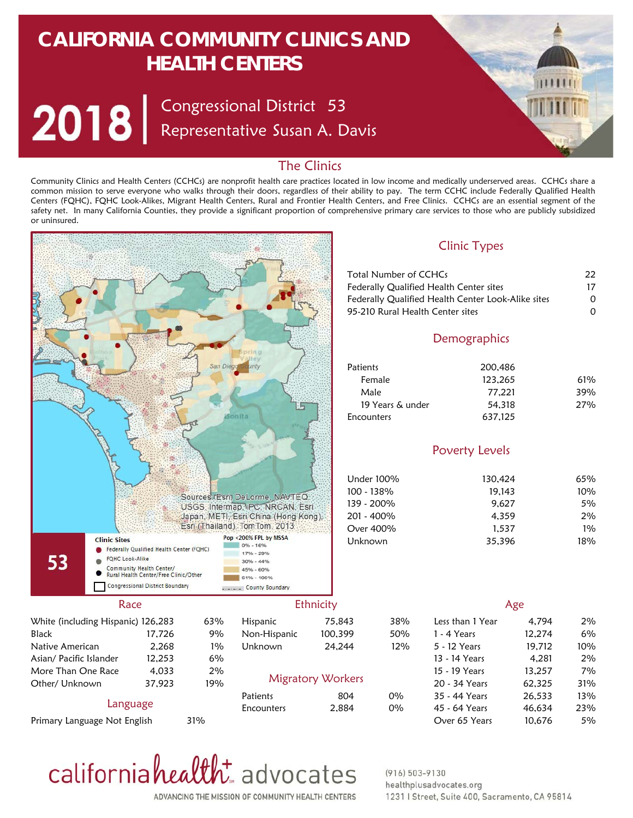# **CALIFORNIA COMMUNITY CLINICS AND HEALTH CENTERS**

Congressional District Representative Susan A. Davis 53

## The Clinics

Community Clinics and Health Centers (CCHCs) are nonprofit health care practices located in low income and medically underserved areas. CCHCs share a common mission to serve everyone who walks through their doors, regardless of their ability to pay. The term CCHC include Federally Qualified Health Centers (FQHC), FQHC Look-Alikes, Migrant Health Centers, Rural and Frontier Health Centers, and Free Clinics. CCHCs are an essential segment of the safety net. In many California Counties, they provide a significant proportion of comprehensive primary care services to those who are publicly subsidized or uninsured.



Primary Language Not English

Over 65 Years 31% 10,676



#### $(916) 503 - 9130$ healthplusadvocates.org 1231 | Street, Suite 400, Sacramento, CA 95814

5%

ADVANCING THE MISSION OF COMMUNITY HEALTH CENTERS